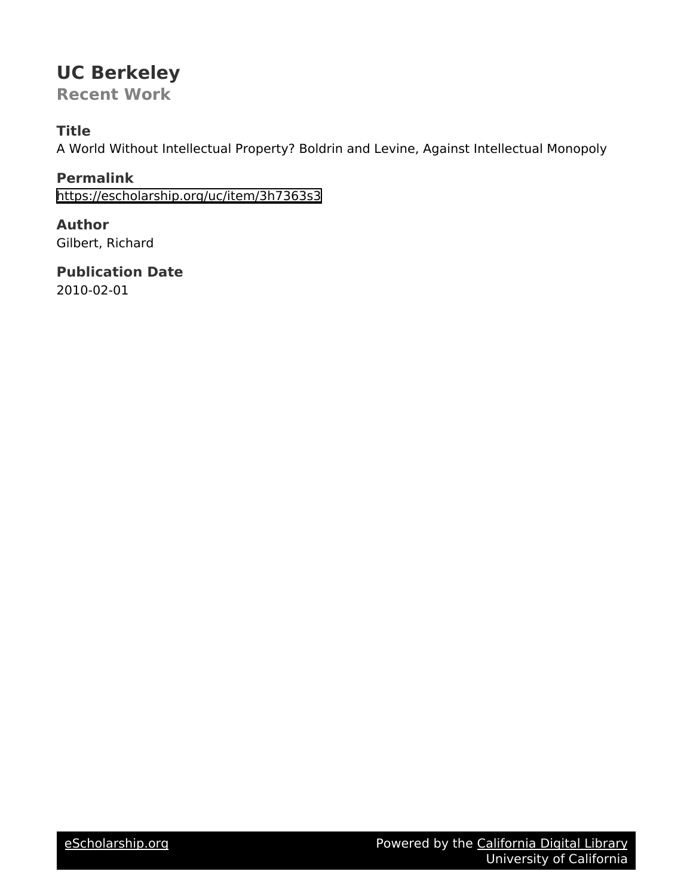# **UC Berkeley**

**Recent Work**

## **Title**

A World Without Intellectual Property? Boldrin and Levine, Against Intellectual Monopoly

**Permalink** <https://escholarship.org/uc/item/3h7363s3>

**Author** Gilbert, Richard

**Publication Date** 2010-02-01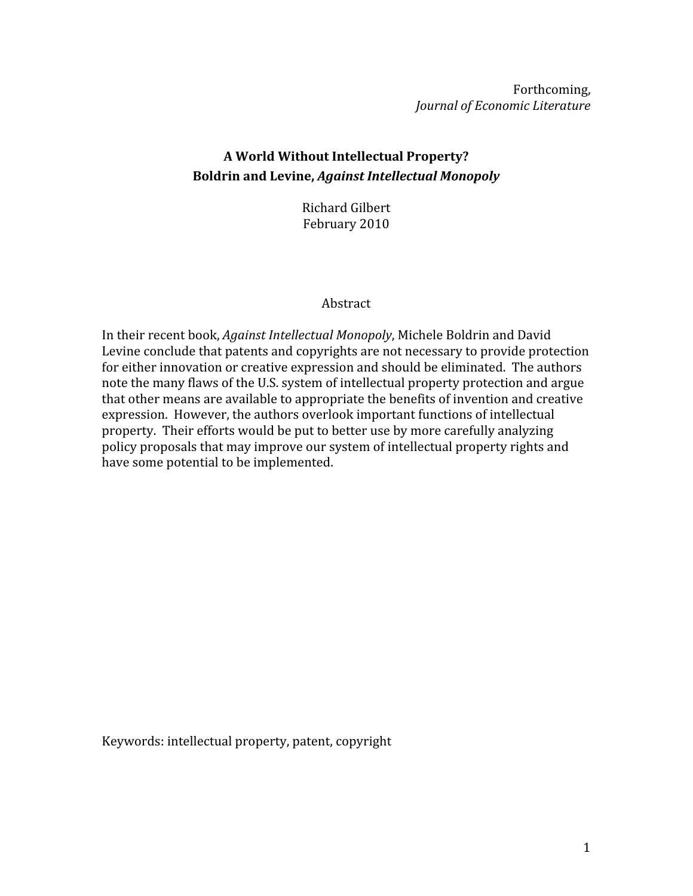Forthcoming, Journal of Economic Literature

## A World Without Intellectual Property? **Boldrin and Levine, Against Intellectual Monopoly**

Richard Gilbert February 2010

#### Abstract

In their recent book, Against Intellectual Monopoly, Michele Boldrin and David Levine conclude that patents and copyrights are not necessary to provide protection for either innovation or creative expression and should be eliminated. The authors note the many flaws of the U.S. system of intellectual property protection and argue that other means are available to appropriate the benefits of invention and creative expression. However, the authors overlook important functions of intellectual property. Their efforts would be put to better use by more carefully analyzing policy proposals that may improve our system of intellectual property rights and have some potential to be implemented.

Keywords: intellectual property, patent, copyright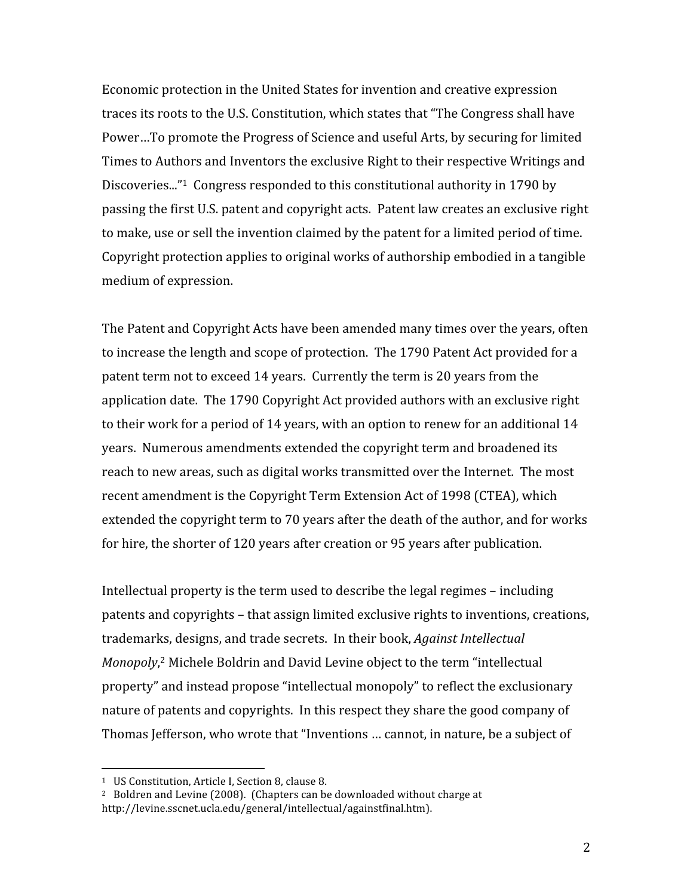Economic protection in the United States for invention and creative expression traces its roots to the U.S. Constitution, which states that "The Congress shall have Power...To promote the Progress of Science and useful Arts, by securing for limited Times to Authors and Inventors the exclusive Right to their respective Writings and Discoveries..."<sup>1</sup> Congress responded to this constitutional authority in 1790 by passing the first U.S. patent and copyright acts. Patent law creates an exclusive right to make, use or sell the invention claimed by the patent for a limited period of time. Copyright protection applies to original works of authorship embodied in a tangible medium of expression.

The Patent and Copyright Acts have been amended many times over the years, often to increase the length and scope of protection. The 1790 Patent Act provided for a patent term not to exceed 14 years. Currently the term is 20 years from the application date. The 1790 Copyright Act provided authors with an exclusive right to their work for a period of 14 years, with an option to renew for an additional 14 years. Numerous amendments extended the copyright term and broadened its reach to new areas, such as digital works transmitted over the Internet. The most recent amendment is the Copyright Term Extension Act of 1998 (CTEA), which extended the copyright term to 70 years after the death of the author, and for works for hire, the shorter of 120 years after creation or 95 years after publication.

Intellectual property is the term used to describe the legal regimes – including patents and copyrights - that assign limited exclusive rights to inventions, creations, trademarks, designs, and trade secrets. In their book, *Against Intellectual* Monopoly,<sup>2</sup> Michele Boldrin and David Levine object to the term "intellectual property" and instead propose "intellectual monopoly" to reflect the exclusionary nature of patents and copyrights. In this respect they share the good company of Thomas Jefferson, who wrote that "Inventions ... cannot, in nature, be a subject of

<sup>&</sup>lt;sup>1</sup> US Constitution, Article I, Section 8, clause 8.

<sup>&</sup>lt;sup>2</sup> Boldren and Levine (2008). (Chapters can be downloaded without charge at http://levine.sscnet.ucla.edu/general/intellectual/againstfinal.htm).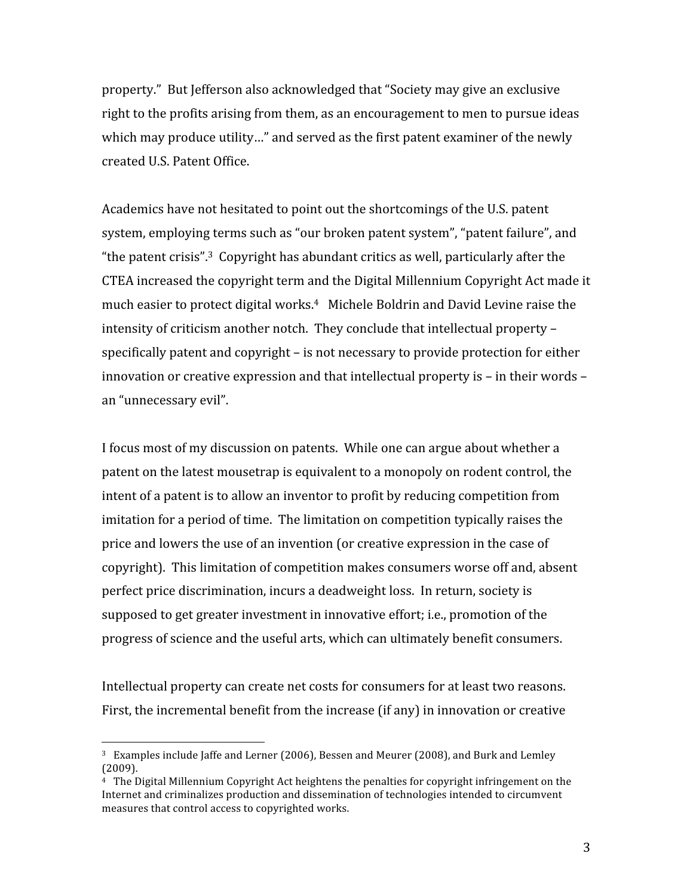property." But Jefferson also acknowledged that "Society may give an exclusive right to the profits arising from them, as an encouragement to men to pursue ideas which may produce utility..." and served as the first patent examiner of the newly created U.S. Patent Office.

Academics have not hesitated to point out the shortcomings of the U.S. patent system, employing terms such as "our broken patent system", "patent failure", and "the patent crisis".<sup>3</sup> Copyright has abundant critics as well, particularly after the CTEA increased the copyright term and the Digital Millennium Copyright Act made it much easier to protect digital works.<sup>4</sup> Michele Boldrin and David Levine raise the intensity of criticism another notch. They conclude that intellectual property specifically patent and copyright – is not necessary to provide protection for either innovation or creative expression and that intellectual property is – in their words – an "unnecessary evil".

I focus most of my discussion on patents. While one can argue about whether a patent on the latest mousetrap is equivalent to a monopoly on rodent control, the intent of a patent is to allow an inventor to profit by reducing competition from imitation for a period of time. The limitation on competition typically raises the price and lowers the use of an invention (or creative expression in the case of copyright). This limitation of competition makes consumers worse off and, absent perfect price discrimination, incurs a deadweight loss. In return, society is supposed to get greater investment in innovative effort; i.e., promotion of the progress of science and the useful arts, which can ultimately benefit consumers.

Intellectual property can create net costs for consumers for at least two reasons. First, the incremental benefit from the increase (if any) in innovation or creative

<sup>&</sup>lt;sup>3</sup> Examples include Jaffe and Lerner (2006), Bessen and Meurer (2008), and Burk and Lemley  $(2009)$ .

 $4$  The Digital Millennium Copyright Act heightens the penalties for copyright infringement on the Internet and criminalizes production and dissemination of technologies intended to circumvent measures that control access to copyrighted works.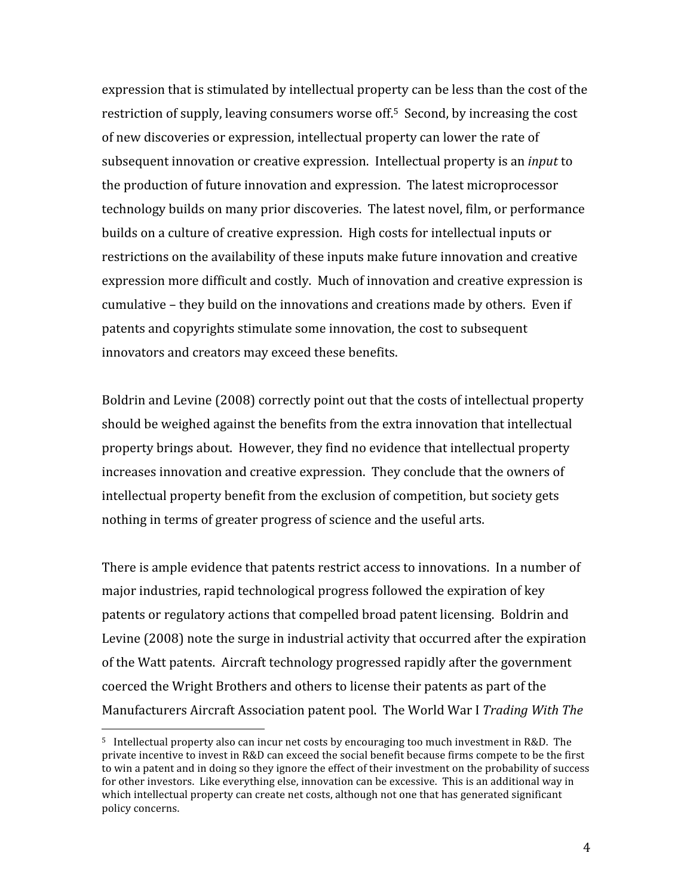expression that is stimulated by intellectual property can be less than the cost of the restriction of supply, leaving consumers worse off.<sup>5</sup> Second, by increasing the cost of new discoveries or expression, intellectual property can lower the rate of subsequent innovation or creative expression. Intellectual property is an *input* to the production of future innovation and expression. The latest microprocessor technology builds on many prior discoveries. The latest novel, film, or performance builds on a culture of creative expression. High costs for intellectual inputs or restrictions on the availability of these inputs make future innovation and creative expression more difficult and costly. Much of innovation and creative expression is cumulative – they build on the innovations and creations made by others. Even if patents and copyrights stimulate some innovation, the cost to subsequent innovators and creators may exceed these benefits.

Boldrin and Levine (2008) correctly point out that the costs of intellectual property should be weighed against the benefits from the extra innovation that intellectual property brings about. However, they find no evidence that intellectual property increases innovation and creative expression. They conclude that the owners of intellectual property benefit from the exclusion of competition, but society gets nothing in terms of greater progress of science and the useful arts.

There is ample evidence that patents restrict access to innovations. In a number of major industries, rapid technological progress followed the expiration of key patents or regulatory actions that compelled broad patent licensing. Boldrin and Levine (2008) note the surge in industrial activity that occurred after the expiration of the Watt patents. Aircraft technology progressed rapidly after the government coerced the Wright Brothers and others to license their patents as part of the Manufacturers Aircraft Association patent pool. The World War I Trading With The

<sup>&</sup>lt;sup>5</sup> Intellectual property also can incur net costs by encouraging too much investment in R&D. The private incentive to invest in R&D can exceed the social benefit because firms compete to be the first to win a patent and in doing so they ignore the effect of their investment on the probability of success for other investors. Like everything else, innovation can be excessive. This is an additional way in which intellectual property can create net costs, although not one that has generated significant policy concerns.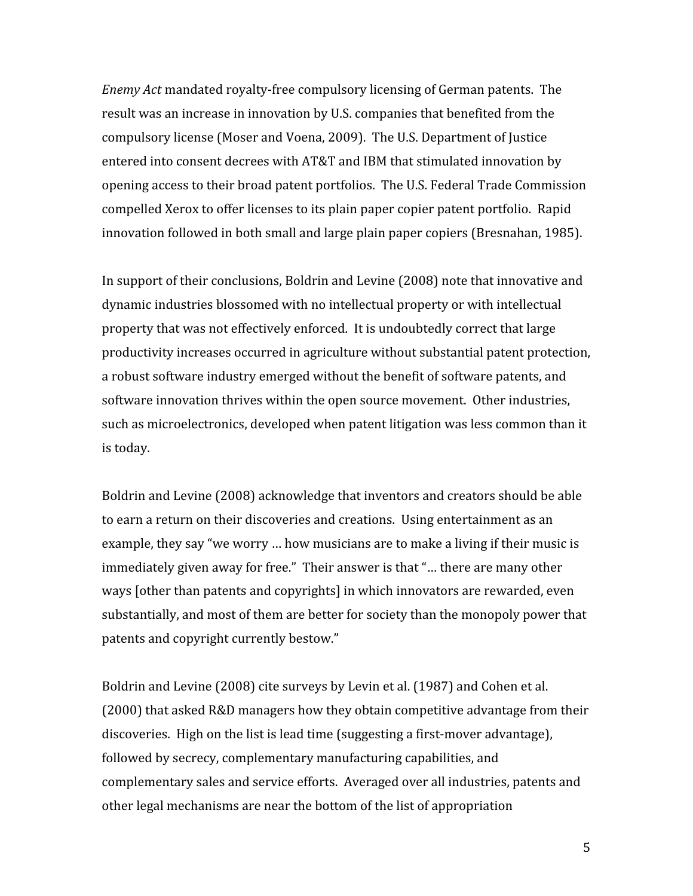*Enemy Act* mandated royalty-free compulsory licensing of German patents. The result was an increase in innovation by U.S. companies that benefited from the compulsory license (Moser and Voena, 2009). The U.S. Department of Justice entered into consent decrees with AT&T and IBM that stimulated innovation by opening access to their broad patent portfolios. The U.S. Federal Trade Commission compelled Xerox to offer licenses to its plain paper copier patent portfolio. Rapid innovation followed in both small and large plain paper copiers (Bresnahan, 1985).

In support of their conclusions, Boldrin and Levine (2008) note that innovative and dynamic industries blossomed with no intellectual property or with intellectual property that was not effectively enforced. It is undoubtedly correct that large productivity increases occurred in agriculture without substantial patent protection, a robust software industry emerged without the benefit of software patents, and software innovation thrives within the open source movement. Other industries, such as microelectronics, developed when patent litigation was less common than it is today.

Boldrin and Levine (2008) acknowledge that inventors and creators should be able to earn a return on their discoveries and creations. Using entertainment as an example, they say "we worry ... how musicians are to make a living if their music is immediately given away for free." Their answer is that "... there are many other ways [other than patents and copyrights] in which innovators are rewarded, even substantially, and most of them are better for society than the monopoly power that patents and copyright currently bestow."

Boldrin and Levine (2008) cite surveys by Levin et al. (1987) and Cohen et al. (2000) that asked R&D managers how they obtain competitive advantage from their discoveries. High on the list is lead time (suggesting a first-mover advantage), followed by secrecy, complementary manufacturing capabilities, and complementary sales and service efforts. Averaged over all industries, patents and other legal mechanisms are near the bottom of the list of appropriation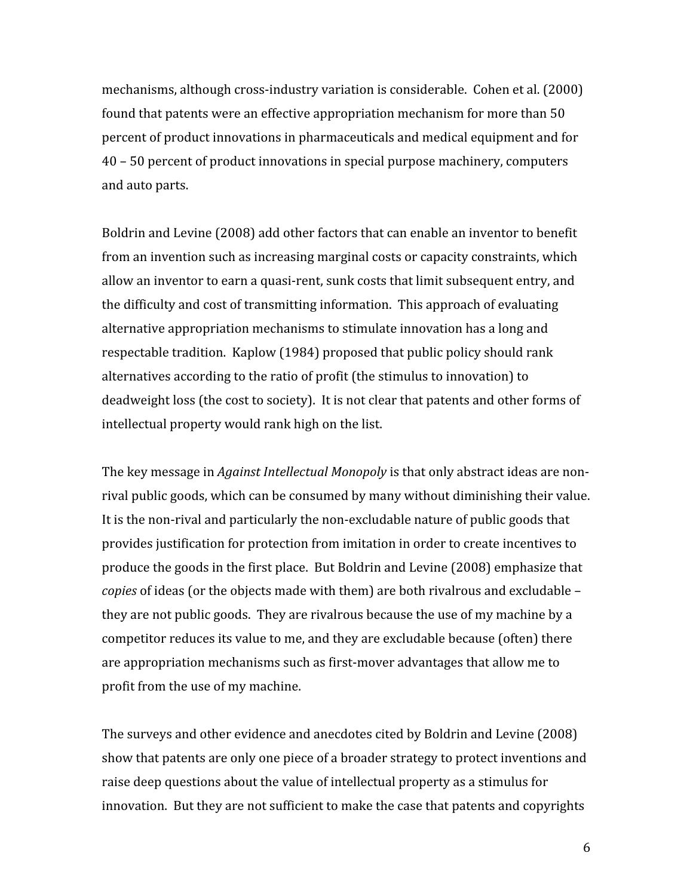mechanisms, although cross-industry variation is considerable. Cohen et al. (2000) found that patents were an effective appropriation mechanism for more than 50 percent of product innovations in pharmaceuticals and medical equipment and for 40 - 50 percent of product innovations in special purpose machinery, computers and auto parts.

Boldrin and Levine (2008) add other factors that can enable an inventor to benefit from an invention such as increasing marginal costs or capacity constraints, which allow an inventor to earn a quasi-rent, sunk costs that limit subsequent entry, and the difficulty and cost of transmitting information. This approach of evaluating alternative appropriation mechanisms to stimulate innovation has a long and respectable tradition. Kaplow (1984) proposed that public policy should rank alternatives according to the ratio of profit (the stimulus to innovation) to deadweight loss (the cost to society). It is not clear that patents and other forms of intellectual property would rank high on the list.

The key message in *Against Intellectual Monopoly* is that only abstract ideas are nonrival public goods, which can be consumed by many without diminishing their value. It is the non-rival and particularly the non-excludable nature of public goods that provides justification for protection from imitation in order to create incentives to produce the goods in the first place. But Boldrin and Levine (2008) emphasize that copies of ideas (or the objects made with them) are both rivalrous and excludable they are not public goods. They are rivalrous because the use of my machine by a competitor reduces its value to me, and they are excludable because (often) there are appropriation mechanisms such as first-mover advantages that allow me to profit from the use of my machine.

The surveys and other evidence and anecdotes cited by Boldrin and Levine (2008) show that patents are only one piece of a broader strategy to protect inventions and raise deep questions about the value of intellectual property as a stimulus for innovation. But they are not sufficient to make the case that patents and copyrights

6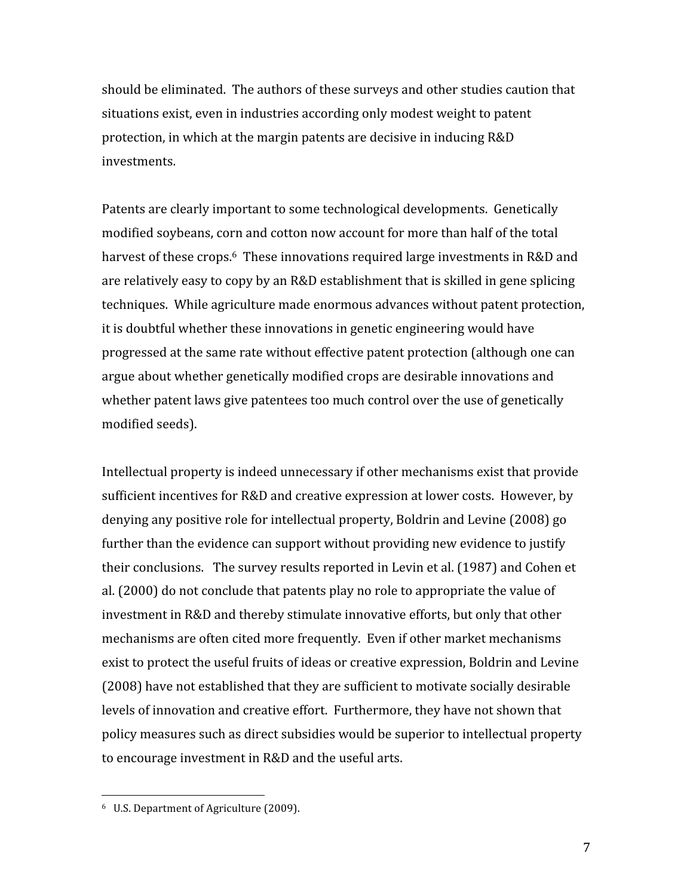should be eliminated. The authors of these surveys and other studies caution that situations exist, even in industries according only modest weight to patent protection, in which at the margin patents are decisive in inducing R&D investments.

Patents are clearly important to some technological developments. Genetically modified soybeans, corn and cotton now account for more than half of the total harvest of these crops.<sup>6</sup> These innovations required large investments in R&D and are relatively easy to copy by an R&D establishment that is skilled in gene splicing techniques. While agriculture made enormous advances without patent protection, it is doubtful whether these innovations in genetic engineering would have progressed at the same rate without effective patent protection (although one can argue about whether genetically modified crops are desirable innovations and whether patent laws give patentees too much control over the use of genetically modified seeds).

Intellectual property is indeed unnecessary if other mechanisms exist that provide sufficient incentives for R&D and creative expression at lower costs. However, by denying any positive role for intellectual property, Boldrin and Levine (2008) go further than the evidence can support without providing new evidence to justify their conclusions. The survey results reported in Levin et al. (1987) and Cohen et al. (2000) do not conclude that patents play no role to appropriate the value of investment in R&D and thereby stimulate innovative efforts, but only that other mechanisms are often cited more frequently. Even if other market mechanisms exist to protect the useful fruits of ideas or creative expression, Boldrin and Levine (2008) have not established that they are sufficient to motivate socially desirable levels of innovation and creative effort. Furthermore, they have not shown that policy measures such as direct subsidies would be superior to intellectual property to encourage investment in R&D and the useful arts.

<sup>&</sup>lt;sup>6</sup> U.S. Department of Agriculture (2009).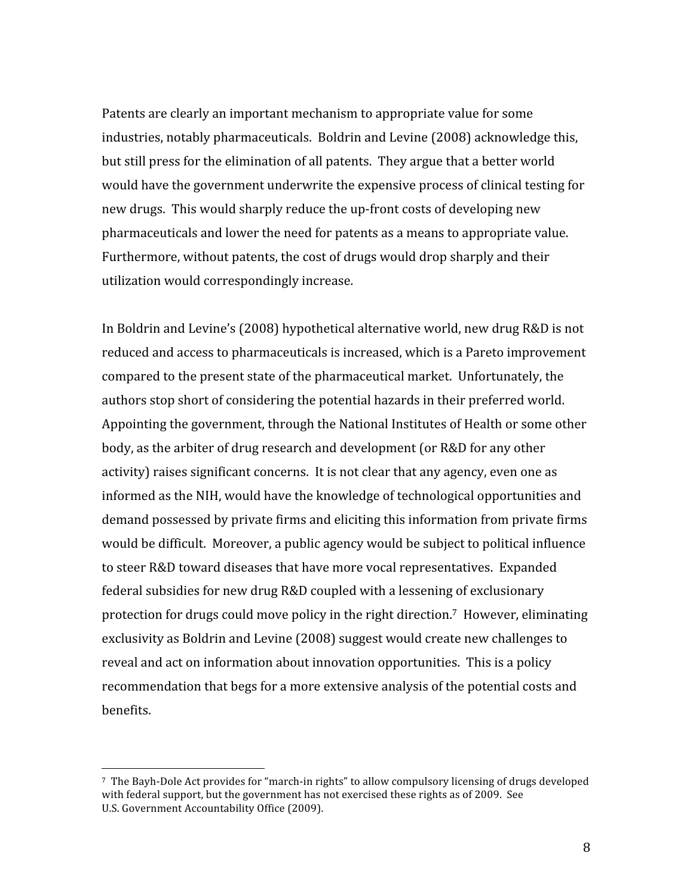Patents are clearly an important mechanism to appropriate value for some industries, notably pharmaceuticals. Boldrin and Levine (2008) acknowledge this, but still press for the elimination of all patents. They argue that a better world would have the government underwrite the expensive process of clinical testing for new drugs. This would sharply reduce the up-front costs of developing new pharmaceuticals and lower the need for patents as a means to appropriate value. Furthermore, without patents, the cost of drugs would drop sharply and their utilization would correspondingly increase.

In Boldrin and Levine's (2008) hypothetical alternative world, new drug R&D is not reduced and access to pharmaceuticals is increased, which is a Pareto improvement compared to the present state of the pharmaceutical market. Unfortunately, the authors stop short of considering the potential hazards in their preferred world. Appointing the government, through the National Institutes of Health or some other body, as the arbiter of drug research and development (or R&D for any other activity) raises significant concerns. It is not clear that any agency, even one as informed as the NIH, would have the knowledge of technological opportunities and demand possessed by private firms and eliciting this information from private firms would be difficult. Moreover, a public agency would be subject to political influence to steer R&D toward diseases that have more vocal representatives. Expanded federal subsidies for new drug R&D coupled with a lessening of exclusionary protection for drugs could move policy in the right direction.<sup>7</sup> However, eliminating exclusivity as Boldrin and Levine (2008) suggest would create new challenges to reveal and act on information about innovation opportunities. This is a policy recommendation that begs for a more extensive analysis of the potential costs and benefits.

<sup>&</sup>lt;sup>7</sup> The Bayh-Dole Act provides for "march-in rights" to allow compulsory licensing of drugs developed with federal support, but the government has not exercised these rights as of 2009. See U.S. Government Accountability Office (2009).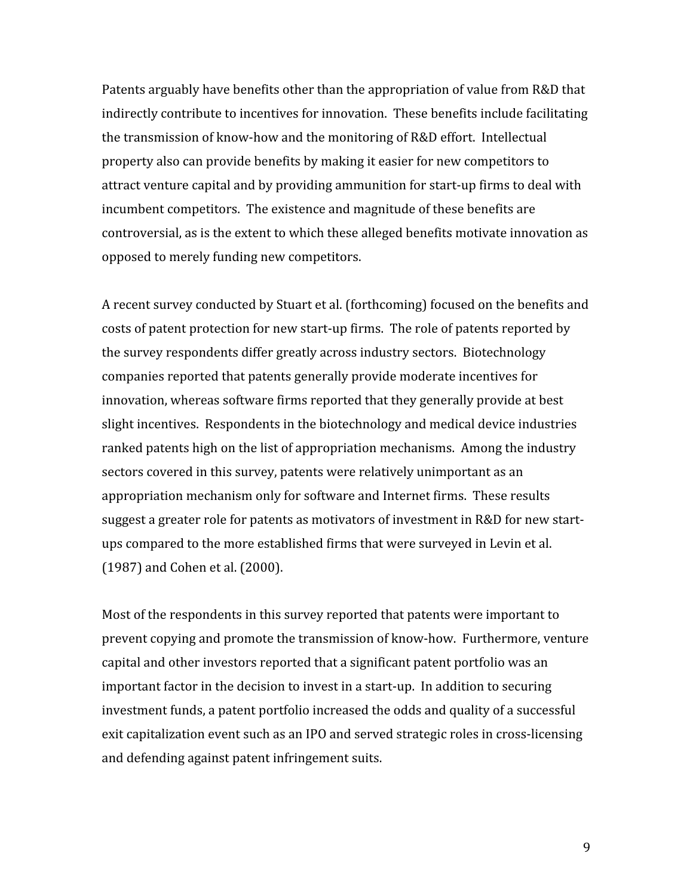Patents arguably have benefits other than the appropriation of value from R&D that indirectly contribute to incentives for innovation. These benefits include facilitating the transmission of know-how and the monitoring of R&D effort. Intellectual property also can provide benefits by making it easier for new competitors to attract venture capital and by providing ammunition for start-up firms to deal with incumbent competitors. The existence and magnitude of these benefits are controversial, as is the extent to which these alleged benefits motivate innovation as opposed to merely funding new competitors.

A recent survey conducted by Stuart et al. (forthcoming) focused on the benefits and costs of patent protection for new start-up firms. The role of patents reported by the survey respondents differ greatly across industry sectors. Biotechnology companies reported that patents generally provide moderate incentives for innovation, whereas software firms reported that they generally provide at best slight incentives. Respondents in the biotechnology and medical device industries ranked patents high on the list of appropriation mechanisms. Among the industry sectors covered in this survey, patents were relatively unimportant as an appropriation mechanism only for software and Internet firms. These results suggest a greater role for patents as motivators of investment in R&D for new startups compared to the more established firms that were surveyed in Levin et al. (1987) and Cohen et al. (2000).

Most of the respondents in this survey reported that patents were important to prevent copying and promote the transmission of know-how. Furthermore, venture capital and other investors reported that a significant patent portfolio was an important factor in the decision to invest in a start-up. In addition to securing investment funds, a patent portfolio increased the odds and quality of a successful exit capitalization event such as an IPO and served strategic roles in cross-licensing and defending against patent infringement suits.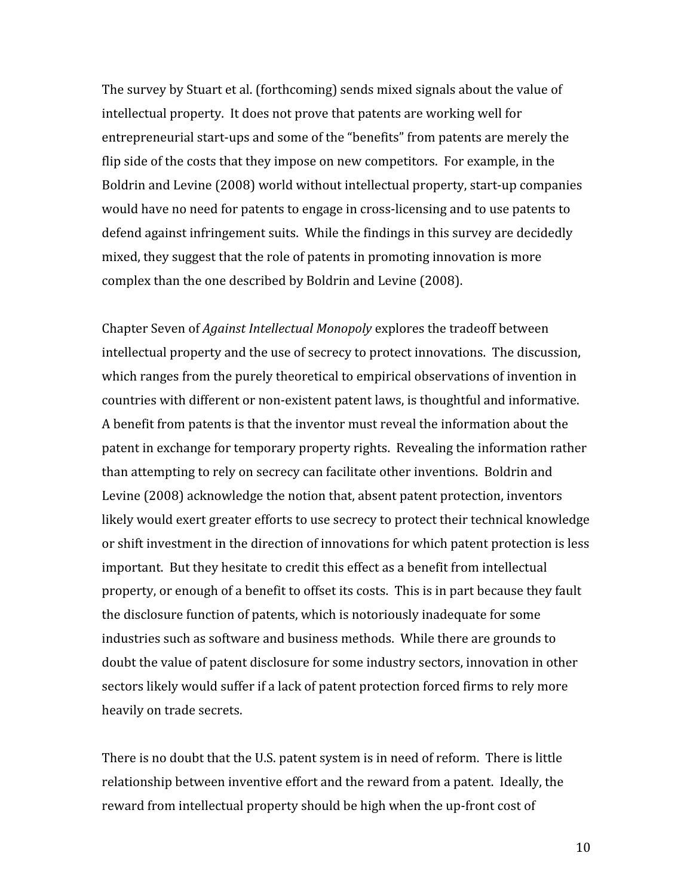The survey by Stuart et al. (forthcoming) sends mixed signals about the value of intellectual property. It does not prove that patents are working well for entrepreneurial start-ups and some of the "benefits" from patents are merely the flip side of the costs that they impose on new competitors. For example, in the Boldrin and Levine (2008) world without intellectual property, start-up companies would have no need for patents to engage in cross-licensing and to use patents to defend against infringement suits. While the findings in this survey are decidedly mixed, they suggest that the role of patents in promoting innovation is more complex than the one described by Boldrin and Levine (2008).

Chapter Seven of Against Intellectual Monopoly explores the tradeoff between intellectual property and the use of secrecy to protect innovations. The discussion, which ranges from the purely theoretical to empirical observations of invention in countries with different or non-existent patent laws, is thoughtful and informative. A benefit from patents is that the inventor must reveal the information about the patent in exchange for temporary property rights. Revealing the information rather than attempting to rely on secrecy can facilitate other inventions. Boldrin and Levine (2008) acknowledge the notion that, absent patent protection, inventors likely would exert greater efforts to use secrecy to protect their technical knowledge or shift investment in the direction of innovations for which patent protection is less important. But they hesitate to credit this effect as a benefit from intellectual property, or enough of a benefit to offset its costs. This is in part because they fault the disclosure function of patents, which is notoriously inadequate for some industries such as software and business methods. While there are grounds to doubt the value of patent disclosure for some industry sectors, innovation in other sectors likely would suffer if a lack of patent protection forced firms to rely more heavily on trade secrets.

There is no doubt that the U.S. patent system is in need of reform. There is little relationship between inventive effort and the reward from a patent. Ideally, the reward from intellectual property should be high when the up-front cost of

10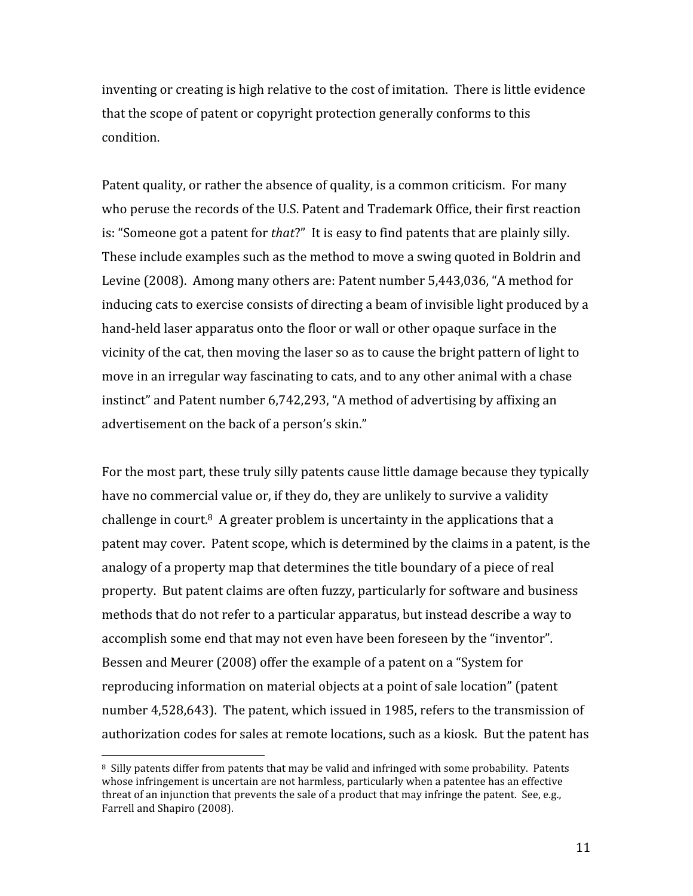inventing or creating is high relative to the cost of imitation. There is little evidence that the scope of patent or copyright protection generally conforms to this condition.

Patent quality, or rather the absence of quality, is a common criticism. For many who peruse the records of the U.S. Patent and Trademark Office, their first reaction is: "Someone got a patent for that?" It is easy to find patents that are plainly silly. These include examples such as the method to move a swing quoted in Boldrin and Levine (2008). Among many others are: Patent number 5,443,036, "A method for inducing cats to exercise consists of directing a beam of invisible light produced by a hand-held laser apparatus onto the floor or wall or other opaque surface in the vicinity of the cat, then moving the laser so as to cause the bright pattern of light to move in an irregular way fascinating to cats, and to any other animal with a chase instinct" and Patent number 6,742,293, "A method of advertising by affixing an advertisement on the back of a person's skin."

For the most part, these truly silly patents cause little damage because they typically have no commercial value or, if they do, they are unlikely to survive a validity challenge in court. $8$  A greater problem is uncertainty in the applications that a patent may cover. Patent scope, which is determined by the claims in a patent, is the analogy of a property map that determines the title boundary of a piece of real property. But patent claims are often fuzzy, particularly for software and business methods that do not refer to a particular apparatus, but instead describe a way to accomplish some end that may not even have been foreseen by the "inventor". Bessen and Meurer (2008) offer the example of a patent on a "System for reproducing information on material objects at a point of sale location" (patent number 4,528,643). The patent, which issued in 1985, refers to the transmission of authorization codes for sales at remote locations, such as a kiosk. But the patent has

<sup>&</sup>lt;sup>8</sup> Silly patents differ from patents that may be valid and infringed with some probability. Patents whose infringement is uncertain are not harmless, particularly when a patentee has an effective threat of an injunction that prevents the sale of a product that may infringe the patent. See, e.g., Farrell and Shapiro (2008).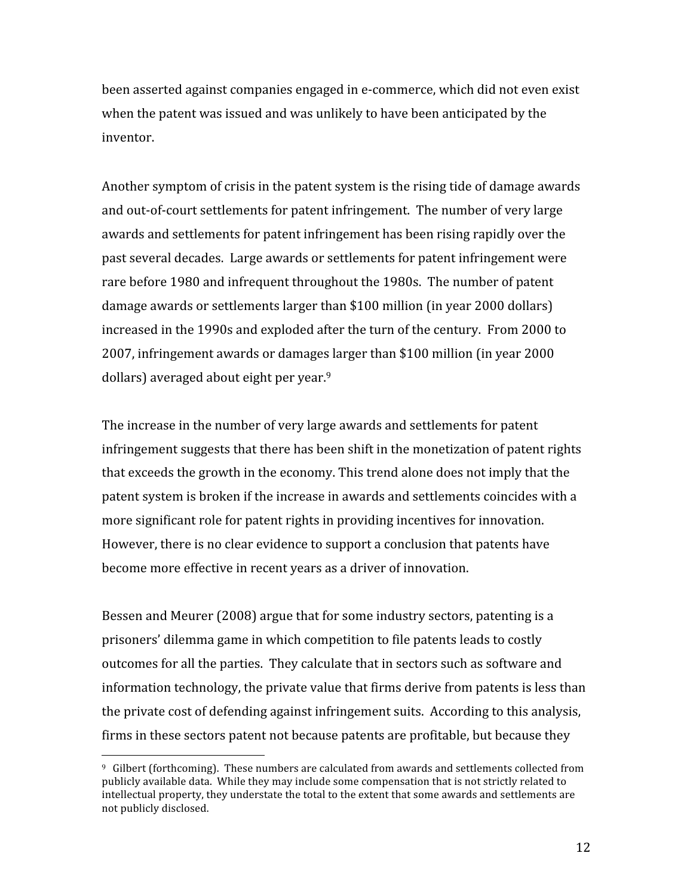been asserted against companies engaged in e-commerce, which did not even exist when the patent was issued and was unlikely to have been anticipated by the inventor.

Another symptom of crisis in the patent system is the rising tide of damage awards and out-of-court settlements for patent infringement. The number of very large awards and settlements for patent infringement has been rising rapidly over the past several decades. Large awards or settlements for patent infringement were rare before 1980 and infrequent throughout the 1980s. The number of patent damage awards or settlements larger than \$100 million (in year 2000 dollars) increased in the 1990s and exploded after the turn of the century. From 2000 to 2007, infringement awards or damages larger than \$100 million (in year 2000 dollars) averaged about eight per year.<sup>9</sup>

The increase in the number of very large awards and settlements for patent infringement suggests that there has been shift in the monetization of patent rights that exceeds the growth in the economy. This trend alone does not imply that the patent system is broken if the increase in awards and settlements coincides with a more significant role for patent rights in providing incentives for innovation. However, there is no clear evidence to support a conclusion that patents have become more effective in recent years as a driver of innovation.

Bessen and Meurer (2008) argue that for some industry sectors, patenting is a prisoners' dilemma game in which competition to file patents leads to costly outcomes for all the parties. They calculate that in sectors such as software and information technology, the private value that firms derive from patents is less than the private cost of defending against infringement suits. According to this analysis, firms in these sectors patent not because patents are profitable, but because they

 $9\,$  Gilbert (forthcoming). These numbers are calculated from awards and settlements collected from publicly available data. While they may include some compensation that is not strictly related to intellectual property, they understate the total to the extent that some awards and settlements are not publicly disclosed.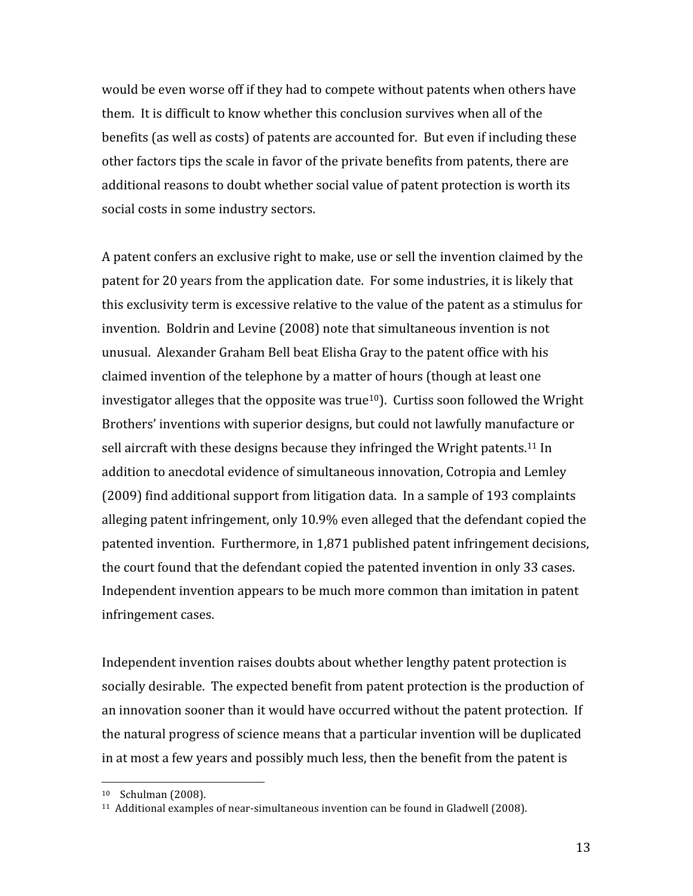would be even worse off if they had to compete without patents when others have them. It is difficult to know whether this conclusion survives when all of the benefits (as well as costs) of patents are accounted for. But even if including these other factors tips the scale in favor of the private benefits from patents, there are additional reasons to doubt whether social value of patent protection is worth its social costs in some industry sectors.

A patent confers an exclusive right to make, use or sell the invention claimed by the patent for 20 years from the application date. For some industries, it is likely that this exclusivity term is excessive relative to the value of the patent as a stimulus for invention. Boldrin and Levine (2008) note that simultaneous invention is not unusual. Alexander Graham Bell beat Elisha Gray to the patent office with his claimed invention of the telephone by a matter of hours (though at least one investigator alleges that the opposite was true<sup>10</sup>). Curtiss soon followed the Wright Brothers' inventions with superior designs, but could not lawfully manufacture or sell aircraft with these designs because they infringed the Wright patents.<sup>11</sup> In addition to anecdotal evidence of simultaneous innovation, Cotropia and Lemley (2009) find additional support from litigation data. In a sample of 193 complaints alleging patent infringement, only 10.9% even alleged that the defendant copied the patented invention. Furthermore, in 1,871 published patent infringement decisions, the court found that the defendant copied the patented invention in only 33 cases. Independent invention appears to be much more common than imitation in patent infringement cases.

Independent invention raises doubts about whether lengthy patent protection is socially desirable. The expected benefit from patent protection is the production of an innovation sooner than it would have occurred without the patent protection. If the natural progress of science means that a particular invention will be duplicated in at most a few years and possibly much less, then the benefit from the patent is

<sup>&</sup>lt;sup>10</sup> Schulman (2008).

<sup>&</sup>lt;sup>11</sup> Additional examples of near-simultaneous invention can be found in Gladwell (2008).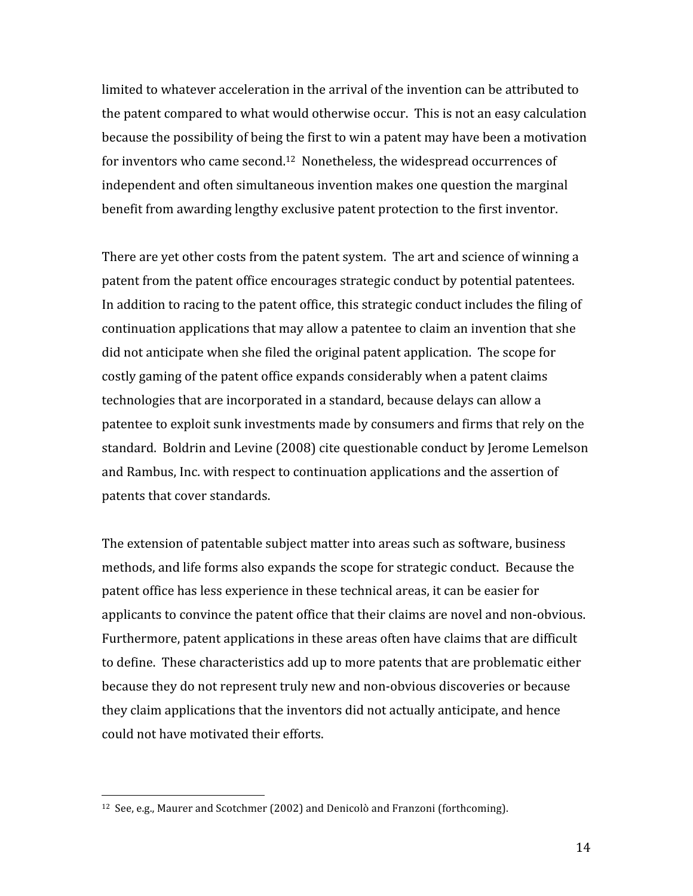limited to whatever acceleration in the arrival of the invention can be attributed to the patent compared to what would otherwise occur. This is not an easy calculation because the possibility of being the first to win a patent may have been a motivation for inventors who came second.<sup>12</sup> Nonetheless, the widespread occurrences of independent and often simultaneous invention makes one question the marginal benefit from awarding lengthy exclusive patent protection to the first inventor.

There are yet other costs from the patent system. The art and science of winning a patent from the patent office encourages strategic conduct by potential patentees. In addition to racing to the patent office, this strategic conduct includes the filing of continuation applications that may allow a patentee to claim an invention that she did not anticipate when she filed the original patent application. The scope for costly gaming of the patent office expands considerably when a patent claims technologies that are incorporated in a standard, because delays can allow a patentee to exploit sunk investments made by consumers and firms that rely on the standard. Boldrin and Levine (2008) cite questionable conduct by Jerome Lemelson and Rambus, Inc. with respect to continuation applications and the assertion of patents that cover standards.

The extension of patentable subject matter into areas such as software, business methods, and life forms also expands the scope for strategic conduct. Because the patent office has less experience in these technical areas, it can be easier for applicants to convince the patent office that their claims are novel and non-obvious. Furthermore, patent applications in these areas often have claims that are difficult to define. These characteristics add up to more patents that are problematic either because they do not represent truly new and non-obvious discoveries or because they claim applications that the inventors did not actually anticipate, and hence could not have motivated their efforts.

<sup>&</sup>lt;sup>12</sup> See, e.g., Maurer and Scotchmer (2002) and Denicolò and Franzoni (forthcoming).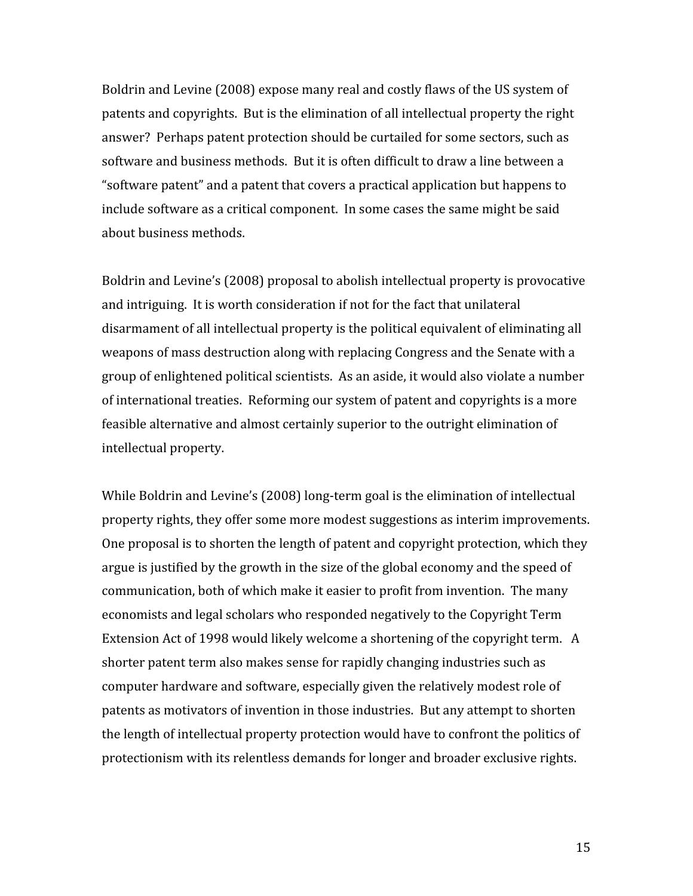Boldrin and Levine (2008) expose many real and costly flaws of the US system of patents and copyrights. But is the elimination of all intellectual property the right answer? Perhaps patent protection should be curtailed for some sectors, such as software and business methods. But it is often difficult to draw a line between a "software patent" and a patent that covers a practical application but happens to include software as a critical component. In some cases the same might be said about business methods.

Boldrin and Levine's (2008) proposal to abolish intellectual property is provocative and intriguing. It is worth consideration if not for the fact that unilateral disarmament of all intellectual property is the political equivalent of eliminating all weapons of mass destruction along with replacing Congress and the Senate with a group of enlightened political scientists. As an aside, it would also violate a number of international treaties. Reforming our system of patent and copyrights is a more feasible alternative and almost certainly superior to the outright elimination of intellectual property.

While Boldrin and Levine's (2008) long-term goal is the elimination of intellectual property rights, they offer some more modest suggestions as interim improvements. One proposal is to shorten the length of patent and copyright protection, which they argue is justified by the growth in the size of the global economy and the speed of communication, both of which make it easier to profit from invention. The many economists and legal scholars who responded negatively to the Copyright Term Extension Act of 1998 would likely welcome a shortening of the copyright term. A shorter patent term also makes sense for rapidly changing industries such as computer hardware and software, especially given the relatively modest role of patents as motivators of invention in those industries. But any attempt to shorten the length of intellectual property protection would have to confront the politics of protectionism with its relentless demands for longer and broader exclusive rights.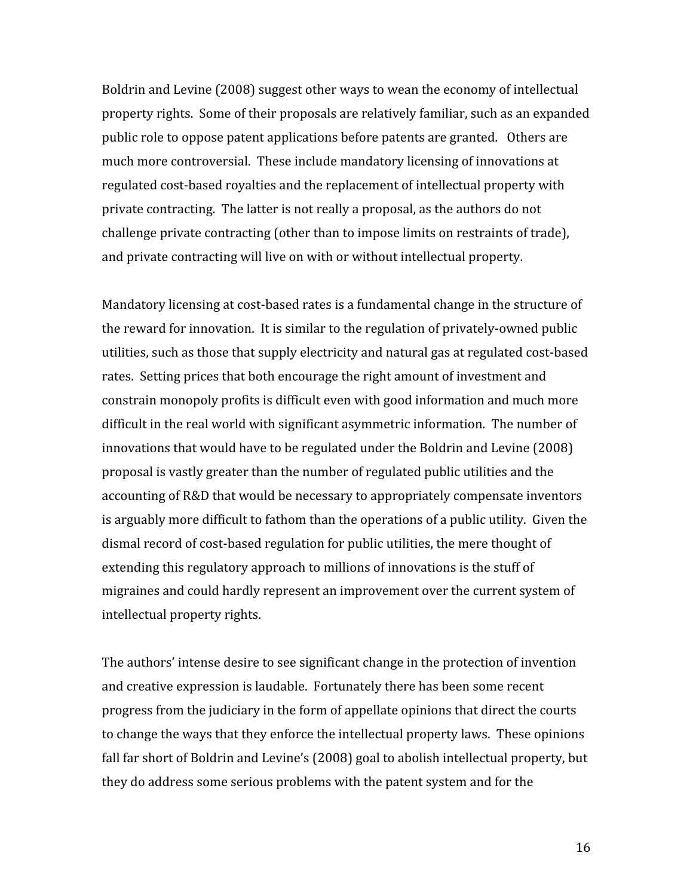Boldrin and Levine (2008) suggest other ways to wean the economy of intellectual property rights. Some of their proposals are relatively familiar, such as an expanded public role to oppose patent applications before patents are granted. Others are much more controversial. These include mandatory licensing of innovations at regulated cost-based royalties and the replacement of intellectual property with private contracting. The latter is not really a proposal, as the authors do not challenge private contracting (other than to impose limits on restraints of trade), and private contracting will live on with or without intellectual property.

Mandatory licensing at cost-based rates is a fundamental change in the structure of the reward for innovation. It is similar to the regulation of privately-owned public utilities, such as those that supply electricity and natural gas at regulated cost-based rates. Setting prices that both encourage the right amount of investment and constrain monopoly profits is difficult even with good information and much more difficult in the real world with significant asymmetric information. The number of innovations that would have to be regulated under the Boldrin and Levine (2008) proposal is vastly greater than the number of regulated public utilities and the accounting of R&D that would be necessary to appropriately compensate inventors is arguably more difficult to fathom than the operations of a public utility. Given the dismal record of cost-based regulation for public utilities, the mere thought of extending this regulatory approach to millions of innovations is the stuff of migraines and could hardly represent an improvement over the current system of intellectual property rights.

The authors' intense desire to see significant change in the protection of invention and creative expression is laudable. Fortunately there has been some recent progress from the judiciary in the form of appellate opinions that direct the courts to change the ways that they enforce the intellectual property laws. These opinions fall far short of Boldrin and Levine's (2008) goal to abolish intellectual property, but they do address some serious problems with the patent system and for the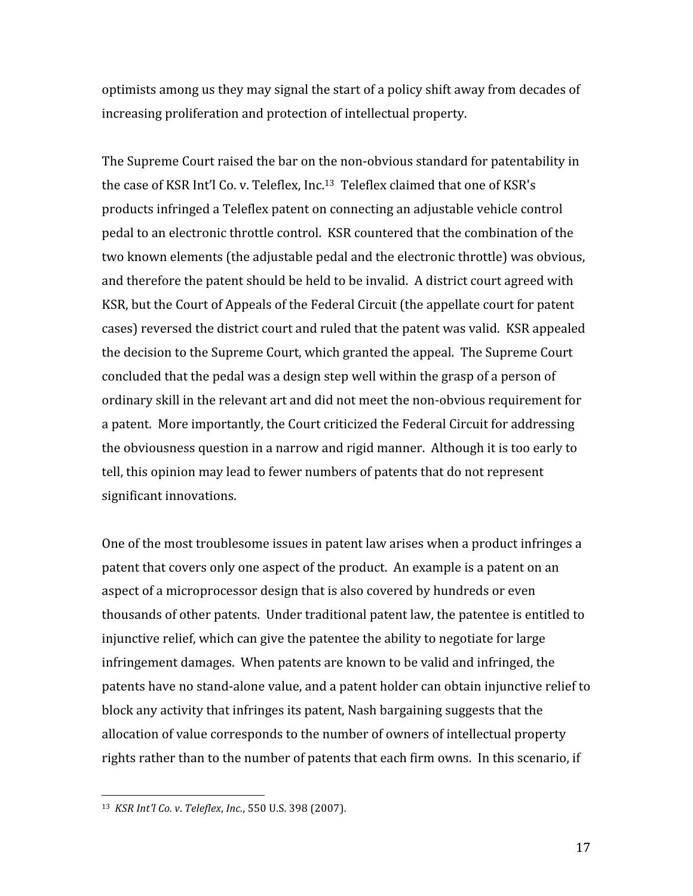optimists among us they may signal the start of a policy shift away from decades of increasing proliferation and protection of intellectual property.

The Supreme Court raised the bar on the non-obvious standard for patentability in the case of KSR Int'l Co. v. Teleflex, Inc.<sup>13</sup> Teleflex claimed that one of KSR's products infringed a Teleflex patent on connecting an adjustable vehicle control pedal to an electronic throttle control. KSR countered that the combination of the two known elements (the adjustable pedal and the electronic throttle) was obvious, and therefore the patent should be held to be invalid. A district court agreed with KSR, but the Court of Appeals of the Federal Circuit (the appellate court for patent cases) reversed the district court and ruled that the patent was valid. KSR appealed the decision to the Supreme Court, which granted the appeal. The Supreme Court concluded that the pedal was a design step well within the grasp of a person of ordinary skill in the relevant art and did not meet the non-obvious requirement for a patent. More importantly, the Court criticized the Federal Circuit for addressing the obviousness question in a narrow and rigid manner. Although it is too early to tell, this opinion may lead to fewer numbers of patents that do not represent significant innovations.

One of the most troublesome issues in patent law arises when a product infringes a patent that covers only one aspect of the product. An example is a patent on an aspect of a microprocessor design that is also covered by hundreds or even thousands of other patents. Under traditional patent law, the patentee is entitled to injunctive relief, which can give the patentee the ability to negotiate for large infringement damages. When patents are known to be valid and infringed, the patents have no stand-alone value, and a patent holder can obtain injunctive relief to block any activity that infringes its patent, Nash bargaining suggests that the allocation of value corresponds to the number of owners of intellectual property rights rather than to the number of patents that each firm owns. In this scenario, if

<sup>&</sup>lt;sup>13</sup> KSR Int'l Co. v. Teleflex, Inc., 550 U.S. 398 (2007).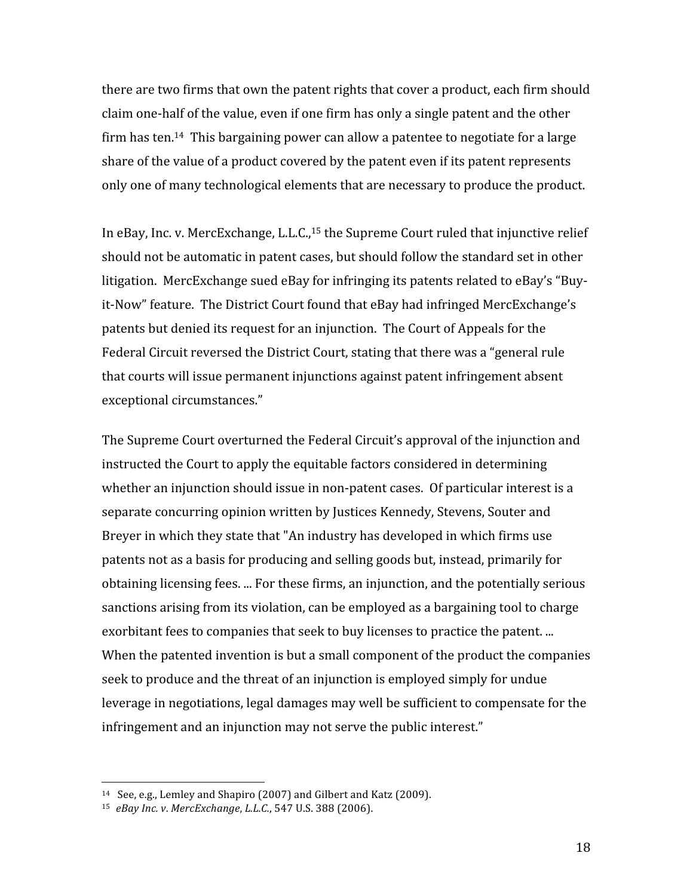there are two firms that own the patent rights that cover a product, each firm should claim one-half of the value, even if one firm has only a single patent and the other firm has ten.<sup>14</sup> This bargaining power can allow a patentee to negotiate for a large share of the value of a product covered by the patent even if its patent represents only one of many technological elements that are necessary to produce the product.

In eBay, Inc. v. MercExchange, L.L.C.,<sup>15</sup> the Supreme Court ruled that injunctive relief should not be automatic in patent cases, but should follow the standard set in other litigation. MercExchange sued eBay for infringing its patents related to eBay's "Buyit-Now" feature. The District Court found that eBay had infringed MercExchange's patents but denied its request for an injunction. The Court of Appeals for the Federal Circuit reversed the District Court, stating that there was a "general rule" that courts will issue permanent injunctions against patent infringement absent exceptional circumstances."

The Supreme Court overturned the Federal Circuit's approval of the injunction and instructed the Court to apply the equitable factors considered in determining whether an injunction should issue in non-patent cases. Of particular interest is a separate concurring opinion written by Justices Kennedy, Stevens, Souter and Breyer in which they state that "An industry has developed in which firms use patents not as a basis for producing and selling goods but, instead, primarily for obtaining licensing fees. ... For these firms, an injunction, and the potentially serious sanctions arising from its violation, can be employed as a bargaining tool to charge exorbitant fees to companies that seek to buy licenses to practice the patent. ... When the patented invention is but a small component of the product the companies seek to produce and the threat of an injunction is employed simply for undue leverage in negotiations, legal damages may well be sufficient to compensate for the infringement and an injunction may not serve the public interest."

<sup>&</sup>lt;sup>14</sup> See, e.g., Lemley and Shapiro (2007) and Gilbert and Katz (2009).

<sup>&</sup>lt;sup>15</sup> eBay Inc. v. MercExchange, L.L.C., 547 U.S. 388 (2006).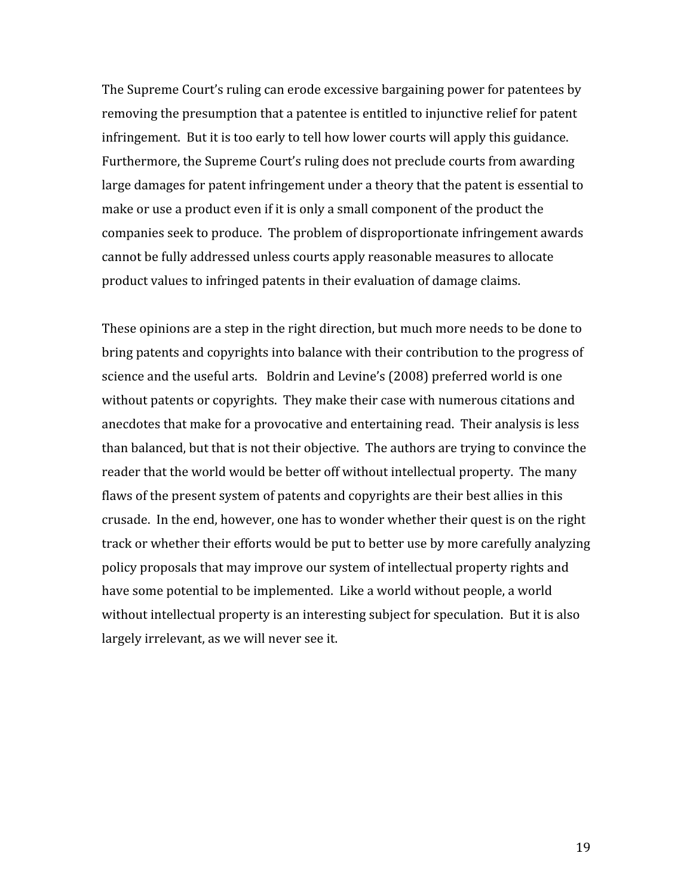The Supreme Court's ruling can erode excessive bargaining power for patentees by removing the presumption that a patentee is entitled to injunctive relief for patent infringement. But it is too early to tell how lower courts will apply this guidance. Furthermore, the Supreme Court's ruling does not preclude courts from awarding large damages for patent infringement under a theory that the patent is essential to make or use a product even if it is only a small component of the product the companies seek to produce. The problem of disproportionate infringement awards cannot be fully addressed unless courts apply reasonable measures to allocate product values to infringed patents in their evaluation of damage claims.

These opinions are a step in the right direction, but much more needs to be done to bring patents and copyrights into balance with their contribution to the progress of science and the useful arts. Boldrin and Levine's (2008) preferred world is one without patents or copyrights. They make their case with numerous citations and anecdotes that make for a provocative and entertaining read. Their analysis is less than balanced, but that is not their objective. The authors are trying to convince the reader that the world would be better off without intellectual property. The many flaws of the present system of patents and copyrights are their best allies in this crusade. In the end, however, one has to wonder whether their quest is on the right track or whether their efforts would be put to better use by more carefully analyzing policy proposals that may improve our system of intellectual property rights and have some potential to be implemented. Like a world without people, a world without intellectual property is an interesting subject for speculation. But it is also largely irrelevant, as we will never see it.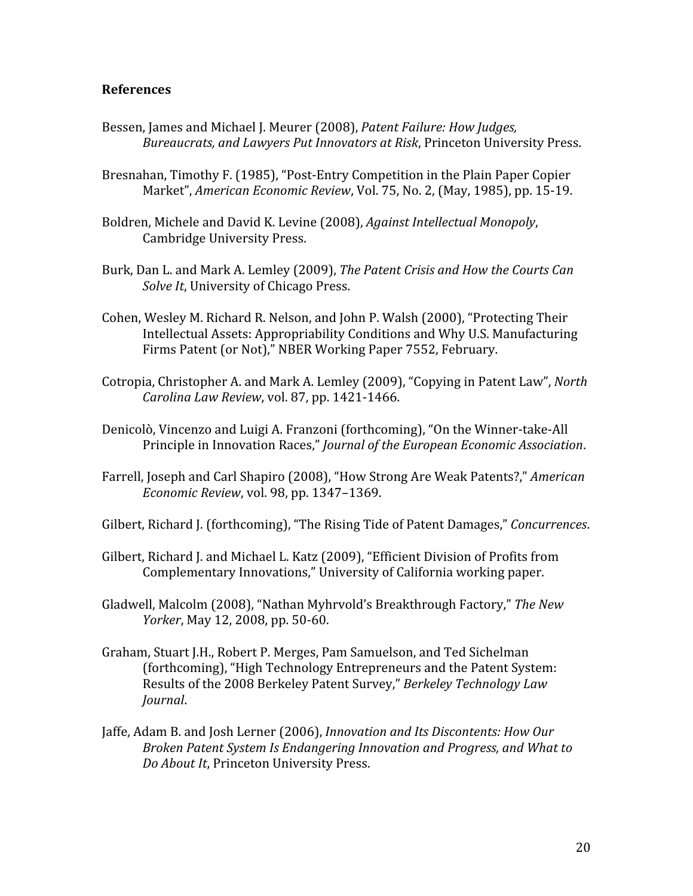### **References**

- Bessen, James and Michael J. Meurer (2008), Patent Failure: How Judges, Bureaucrats, and Lawyers Put Innovators at Risk, Princeton University Press.
- Bresnahan, Timothy F. (1985), "Post-Entry Competition in the Plain Paper Copier Market", American Economic Review, Vol. 75, No. 2, (May, 1985), pp. 15-19.
- Boldren, Michele and David K. Levine (2008), Against Intellectual Monopoly, **Cambridge University Press.**
- Burk, Dan L. and Mark A. Lemley (2009), The Patent Crisis and How the Courts Can Solve It, University of Chicago Press.
- Cohen, Wesley M. Richard R. Nelson, and John P. Walsh (2000), "Protecting Their Intellectual Assets: Appropriability Conditions and Why U.S. Manufacturing Firms Patent (or Not)," NBER Working Paper 7552, February.
- Cotropia, Christopher A. and Mark A. Lemley (2009), "Copying in Patent Law", North Carolina Law Review, vol. 87, pp. 1421-1466.
- Denicolò, Vincenzo and Luigi A. Franzoni (forthcoming), "On the Winner-take-All Principle in Innovation Races," Journal of the European Economic Association.
- Farrell, Joseph and Carl Shapiro (2008), "How Strong Are Weak Patents?," American Economic Review, vol. 98, pp. 1347-1369.
- Gilbert, Richard J. (forthcoming), "The Rising Tide of Patent Damages," Concurrences.
- Gilbert, Richard J. and Michael L. Katz (2009), "Efficient Division of Profits from Complementary Innovations," University of California working paper.
- Gladwell, Malcolm (2008), "Nathan Myhryold's Breakthrough Factory," The New Yorker, May 12, 2008, pp. 50-60.
- Graham, Stuart J.H., Robert P. Merges, Pam Samuelson, and Ted Sichelman (forthcoming), "High Technology Entrepreneurs and the Patent System: Results of the 2008 Berkeley Patent Survey," Berkeley Technology Law Journal.
- Jaffe, Adam B. and Josh Lerner (2006), *Innovation and Its Discontents: How Our* Broken Patent System Is Endangering Innovation and Progress, and What to Do About It, Princeton University Press.